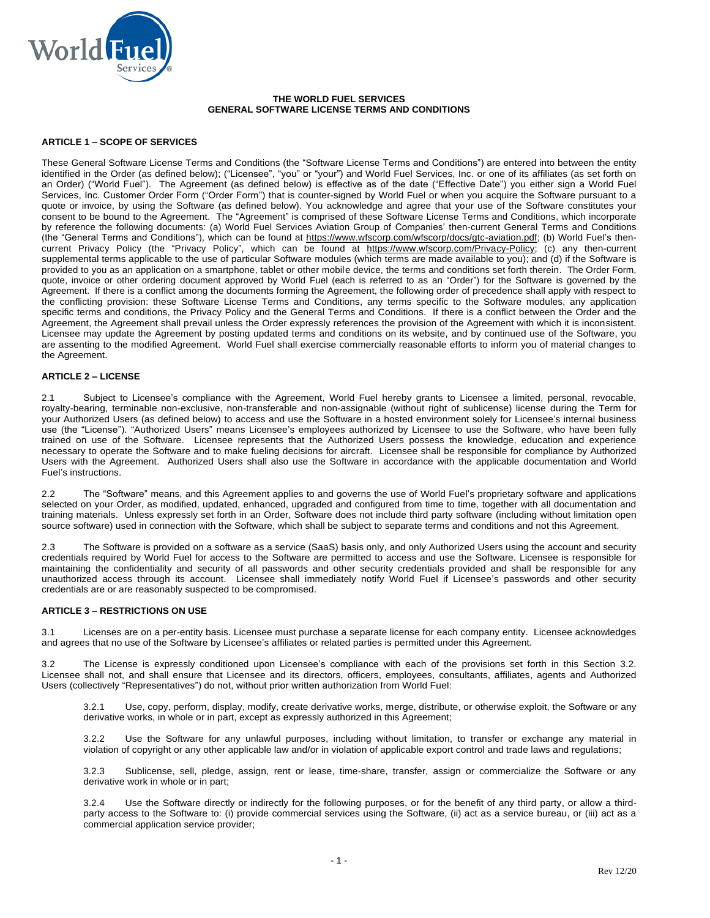

### **THE WORLD FUEL SERVICES GENERAL SOFTWARE LICENSE TERMS AND CONDITIONS**

## **ARTICLE 1 – SCOPE OF SERVICES**

These General Software License Terms and Conditions (the "Software License Terms and Conditions") are entered into between the entity identified in the Order (as defined below); ("Licensee", "you" or "your") and World Fuel Services, Inc. or one of its affiliates (as set forth on an Order) ("World Fuel"). The Agreement (as defined below) is effective as of the date ("Effective Date") you either sign a World Fuel Services, Inc. Customer Order Form ("Order Form") that is counter-signed by World Fuel or when you acquire the Software pursuant to a quote or invoice, by using the Software (as defined below). You acknowledge and agree that your use of the Software constitutes your consent to be bound to the Agreement. The "Agreement" is comprised of these Software License Terms and Conditions, which incorporate by reference the following documents: (a) World Fuel Services Aviation Group of Companies' then-current General Terms and Conditions (the "General Terms and Conditions"), which can be found at [https://www.wfscorp.com/wfscorp/docs/gtc-aviation.pdf;](https://www.wfscorp.com/wfscorp/docs/gtc-aviation.pdf) (b) World Fuel's thencurrent Privacy Policy (the "Privacy Policy", which can be found at [https://www.wfscorp.com/Privacy-Policy;](https://www.wfscorp.com/Privacy-Policy) (c) any then-current supplemental terms applicable to the use of particular Software modules (which terms are made available to you); and (d) if the Software is provided to you as an application on a smartphone, tablet or other mobile device, the terms and conditions set forth therein. The Order Form, quote, invoice or other ordering document approved by World Fuel (each is referred to as an "Order") for the Software is governed by the Agreement. If there is a conflict among the documents forming the Agreement, the following order of precedence shall apply with respect to the conflicting provision: these Software License Terms and Conditions, any terms specific to the Software modules, any application specific terms and conditions, the Privacy Policy and the General Terms and Conditions. If there is a conflict between the Order and the Agreement, the Agreement shall prevail unless the Order expressly references the provision of the Agreement with which it is inconsistent. Licensee may update the Agreement by posting updated terms and conditions on its website, and by continued use of the Software, you are assenting to the modified Agreement. World Fuel shall exercise commercially reasonable efforts to inform you of material changes to the Agreement.

## **ARTICLE 2 – LICENSE**

2.1 Subject to Licensee's compliance with the Agreement, World Fuel hereby grants to Licensee a limited, personal, revocable, royalty-bearing, terminable non-exclusive, non-transferable and non-assignable (without right of sublicense) license during the Term for your Authorized Users (as defined below) to access and use the Software in a hosted environment solely for Licensee's internal business use (the "License"). "Authorized Users" means Licensee's employees authorized by Licensee to use the Software, who have been fully trained on use of the Software. Licensee represents that the Authorized Users possess the knowledge, education and experience necessary to operate the Software and to make fueling decisions for aircraft. Licensee shall be responsible for compliance by Authorized Users with the Agreement. Authorized Users shall also use the Software in accordance with the applicable documentation and World Fuel's instructions.

2.2 The "Software" means, and this Agreement applies to and governs the use of World Fuel's proprietary software and applications selected on your Order, as modified, updated, enhanced, upgraded and configured from time to time, together with all documentation and training materials. Unless expressly set forth in an Order, Software does not include third party software (including without limitation open source software) used in connection with the Software, which shall be subject to separate terms and conditions and not this Agreement.

2.3 The Software is provided on a software as a service (SaaS) basis only, and only Authorized Users using the account and security credentials required by World Fuel for access to the Software are permitted to access and use the Software. Licensee is responsible for maintaining the confidentiality and security of all passwords and other security credentials provided and shall be responsible for any unauthorized access through its account. Licensee shall immediately notify World Fuel if Licensee's passwords and other security credentials are or are reasonably suspected to be compromised.

#### **ARTICLE 3 – RESTRICTIONS ON USE**

3.1 Licenses are on a per-entity basis. Licensee must purchase a separate license for each company entity. Licensee acknowledges and agrees that no use of the Software by Licensee's affiliates or related parties is permitted under this Agreement.

3.2 The License is expressly conditioned upon Licensee's compliance with each of the provisions set forth in this Section 3.2. Licensee shall not, and shall ensure that Licensee and its directors, officers, employees, consultants, affiliates, agents and Authorized Users (collectively "Representatives") do not, without prior written authorization from World Fuel:

3.2.1 Use, copy, perform, display, modify, create derivative works, merge, distribute, or otherwise exploit, the Software or any derivative works, in whole or in part, except as expressly authorized in this Agreement;

3.2.2 Use the Software for any unlawful purposes, including without limitation, to transfer or exchange any material in violation of copyright or any other applicable law and/or in violation of applicable export control and trade laws and regulations;

3.2.3 Sublicense, sell, pledge, assign, rent or lease, time-share, transfer, assign or commercialize the Software or any derivative work in whole or in part;

3.2.4 Use the Software directly or indirectly for the following purposes, or for the benefit of any third party, or allow a thirdparty access to the Software to: (i) provide commercial services using the Software, (ii) act as a service bureau, or (iii) act as a commercial application service provider;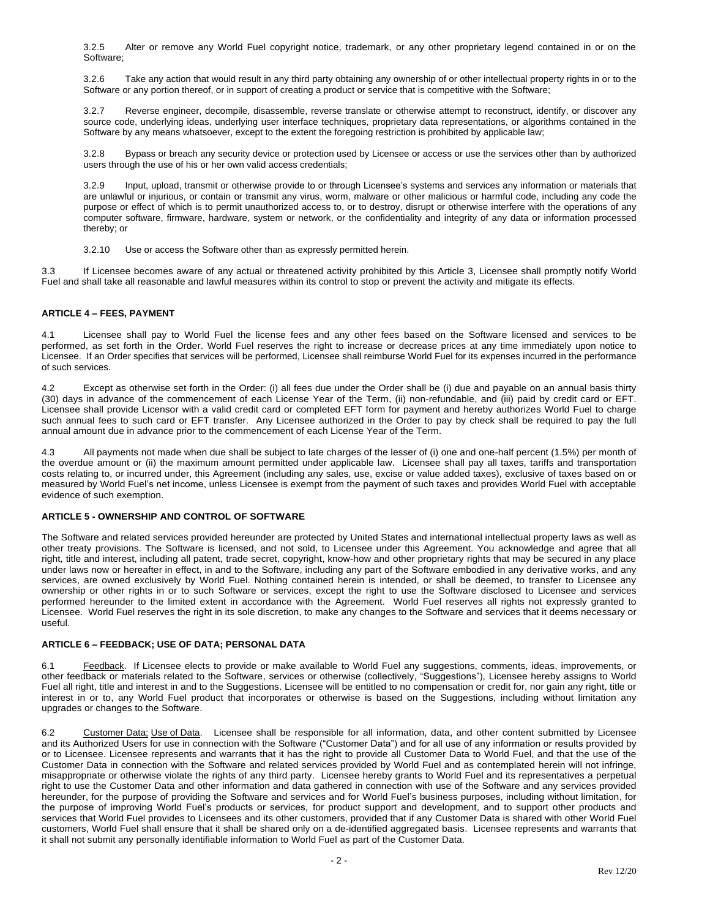3.2.5 Alter or remove any World Fuel copyright notice, trademark, or any other proprietary legend contained in or on the Software;

3.2.6 Take any action that would result in any third party obtaining any ownership of or other intellectual property rights in or to the Software or any portion thereof, or in support of creating a product or service that is competitive with the Software;

3.2.7 Reverse engineer, decompile, disassemble, reverse translate or otherwise attempt to reconstruct, identify, or discover any source code, underlying ideas, underlying user interface techniques, proprietary data representations, or algorithms contained in the Software by any means whatsoever, except to the extent the foregoing restriction is prohibited by applicable law;

3.2.8 Bypass or breach any security device or protection used by Licensee or access or use the services other than by authorized users through the use of his or her own valid access credentials;

3.2.9 Input, upload, transmit or otherwise provide to or through Licensee's systems and services any information or materials that are unlawful or injurious, or contain or transmit any virus, worm, malware or other malicious or harmful code, including any code the purpose or effect of which is to permit unauthorized access to, or to destroy, disrupt or otherwise interfere with the operations of any computer software, firmware, hardware, system or network, or the confidentiality and integrity of any data or information processed thereby; or

3.2.10 Use or access the Software other than as expressly permitted herein.

3.3 If Licensee becomes aware of any actual or threatened activity prohibited by this Article 3, Licensee shall promptly notify World Fuel and shall take all reasonable and lawful measures within its control to stop or prevent the activity and mitigate its effects.

# **ARTICLE 4 – FEES, PAYMENT**

4.1 Licensee shall pay to World Fuel the license fees and any other fees based on the Software licensed and services to be performed, as set forth in the Order. World Fuel reserves the right to increase or decrease prices at any time immediately upon notice to Licensee. If an Order specifies that services will be performed, Licensee shall reimburse World Fuel for its expenses incurred in the performance of such services.

4.2 Except as otherwise set forth in the Order: (i) all fees due under the Order shall be (i) due and payable on an annual basis thirty (30) days in advance of the commencement of each License Year of the Term, (ii) non-refundable, and (iii) paid by credit card or EFT. Licensee shall provide Licensor with a valid credit card or completed EFT form for payment and hereby authorizes World Fuel to charge such annual fees to such card or EFT transfer. Any Licensee authorized in the Order to pay by check shall be required to pay the full annual amount due in advance prior to the commencement of each License Year of the Term.

4.3 All payments not made when due shall be subject to late charges of the lesser of (i) one and one-half percent (1.5%) per month of the overdue amount or (ii) the maximum amount permitted under applicable law. Licensee shall pay all taxes, tariffs and transportation costs relating to, or incurred under, this Agreement (including any sales, use, excise or value added taxes), exclusive of taxes based on or measured by World Fuel's net income, unless Licensee is exempt from the payment of such taxes and provides World Fuel with acceptable evidence of such exemption.

## **ARTICLE 5 - OWNERSHIP AND CONTROL OF SOFTWARE**

The Software and related services provided hereunder are protected by United States and international intellectual property laws as well as other treaty provisions. The Software is licensed, and not sold, to Licensee under this Agreement. You acknowledge and agree that all right, title and interest, including all patent, trade secret, copyright, know-how and other proprietary rights that may be secured in any place under laws now or hereafter in effect, in and to the Software, including any part of the Software embodied in any derivative works, and any services, are owned exclusively by World Fuel. Nothing contained herein is intended, or shall be deemed, to transfer to Licensee any ownership or other rights in or to such Software or services, except the right to use the Software disclosed to Licensee and services performed hereunder to the limited extent in accordance with the Agreement. World Fuel reserves all rights not expressly granted to Licensee. World Fuel reserves the right in its sole discretion, to make any changes to the Software and services that it deems necessary or useful.

## **ARTICLE 6 – FEEDBACK; USE OF DATA; PERSONAL DATA**

6.1 Feedback. If Licensee elects to provide or make available to World Fuel any suggestions, comments, ideas, improvements, or other feedback or materials related to the Software, services or otherwise (collectively, "Suggestions"), Licensee hereby assigns to World Fuel all right, title and interest in and to the Suggestions. Licensee will be entitled to no compensation or credit for, nor gain any right, title or interest in or to, any World Fuel product that incorporates or otherwise is based on the Suggestions, including without limitation any upgrades or changes to the Software.

6.2 Customer Data; Use of Data. Licensee shall be responsible for all information, data, and other content submitted by Licensee and its Authorized Users for use in connection with the Software ("Customer Data") and for all use of any information or results provided by or to Licensee. Licensee represents and warrants that it has the right to provide all Customer Data to World Fuel, and that the use of the Customer Data in connection with the Software and related services provided by World Fuel and as contemplated herein will not infringe, misappropriate or otherwise violate the rights of any third party. Licensee hereby grants to World Fuel and its representatives a perpetual right to use the Customer Data and other information and data gathered in connection with use of the Software and any services provided hereunder, for the purpose of providing the Software and services and for World Fuel's business purposes, including without limitation, for the purpose of improving World Fuel's products or services, for product support and development, and to support other products and services that World Fuel provides to Licensees and its other customers, provided that if any Customer Data is shared with other World Fuel customers, World Fuel shall ensure that it shall be shared only on a de-identified aggregated basis. Licensee represents and warrants that it shall not submit any personally identifiable information to World Fuel as part of the Customer Data.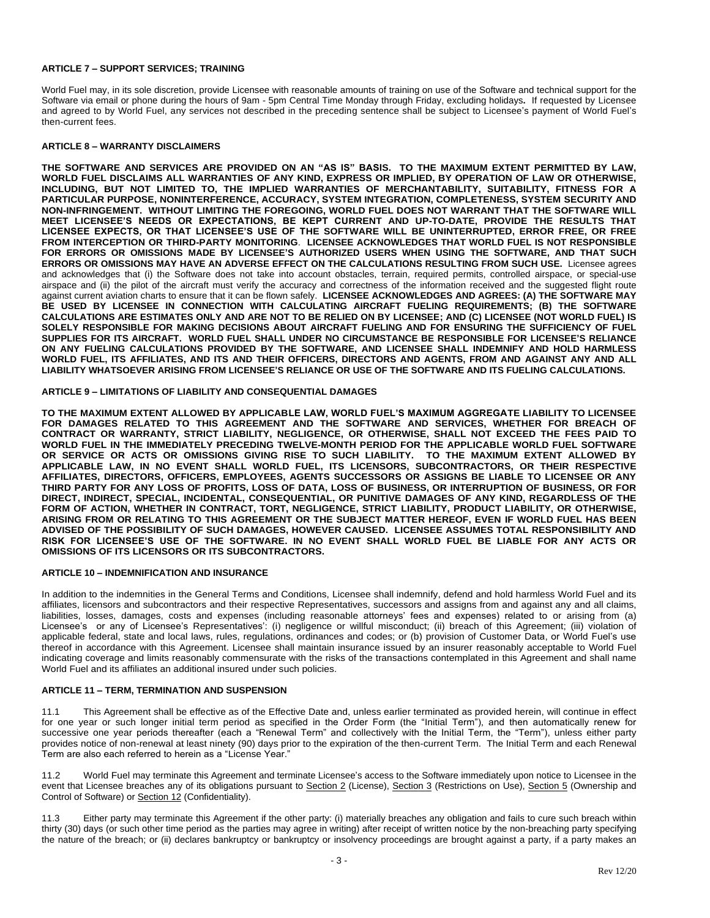## **ARTICLE 7 – SUPPORT SERVICES; TRAINING**

World Fuel may, in its sole discretion, provide Licensee with reasonable amounts of training on use of the Software and technical support for the Software via email or phone during the hours of 9am - 5pm Central Time Monday through Friday, excluding holidays**.** If requested by Licensee and agreed to by World Fuel, any services not described in the preceding sentence shall be subject to Licensee's payment of World Fuel's then-current fees.

#### **ARTICLE 8 – WARRANTY DISCLAIMERS**

**THE SOFTWARE AND SERVICES ARE PROVIDED ON AN "AS IS" BASIS. TO THE MAXIMUM EXTENT PERMITTED BY LAW, WORLD FUEL DISCLAIMS ALL WARRANTIES OF ANY KIND, EXPRESS OR IMPLIED, BY OPERATION OF LAW OR OTHERWISE, INCLUDING, BUT NOT LIMITED TO, THE IMPLIED WARRANTIES OF MERCHANTABILITY, SUITABILITY, FITNESS FOR A PARTICULAR PURPOSE, NONINTERFERENCE, ACCURACY, SYSTEM INTEGRATION, COMPLETENESS, SYSTEM SECURITY AND NON-INFRINGEMENT. WITHOUT LIMITING THE FOREGOING, WORLD FUEL DOES NOT WARRANT THAT THE SOFTWARE WILL MEET LICENSEE'S NEEDS OR EXPECTATIONS, BE KEPT CURRENT AND UP-TO-DATE, PROVIDE THE RESULTS THAT LICENSEE EXPECTS, OR THAT LICENSEE'S USE OF THE SOFTWARE WILL BE UNINTERRUPTED, ERROR FREE, OR FREE FROM INTERCEPTION OR THIRD-PARTY MONITORING**. **LICENSEE ACKNOWLEDGES THAT WORLD FUEL IS NOT RESPONSIBLE FOR ERRORS OR OMISSIONS MADE BY LICENSEE'S AUTHORIZED USERS WHEN USING THE SOFTWARE, AND THAT SUCH ERRORS OR OMISSIONS MAY HAVE AN ADVERSE EFFECT ON THE CALCULATIONS RESULTING FROM SUCH USE.** Licensee agrees and acknowledges that (i) the Software does not take into account obstacles, terrain, required permits, controlled airspace, or special-use airspace and (ii) the pilot of the aircraft must verify the accuracy and correctness of the information received and the suggested flight route against current aviation charts to ensure that it can be flown safely. **LICENSEE ACKNOWLEDGES AND AGREES: (A) THE SOFTWARE MAY BE USED BY LICENSEE IN CONNECTION WITH CALCULATING AIRCRAFT FUELING REQUIREMENTS; (B) THE SOFTWARE CALCULATIONS ARE ESTIMATES ONLY AND ARE NOT TO BE RELIED ON BY LICENSEE; AND (C) LICENSEE (NOT WORLD FUEL) IS SOLELY RESPONSIBLE FOR MAKING DECISIONS ABOUT AIRCRAFT FUELING AND FOR ENSURING THE SUFFICIENCY OF FUEL SUPPLIES FOR ITS AIRCRAFT. WORLD FUEL SHALL UNDER NO CIRCUMSTANCE BE RESPONSIBLE FOR LICENSEE'S RELIANCE ON ANY FUELING CALCULATIONS PROVIDED BY THE SOFTWARE, AND LICENSEE SHALL INDEMNIFY AND HOLD HARMLESS WORLD FUEL, ITS AFFILIATES, AND ITS AND THEIR OFFICERS, DIRECTORS AND AGENTS, FROM AND AGAINST ANY AND ALL LIABILITY WHATSOEVER ARISING FROM LICENSEE'S RELIANCE OR USE OF THE SOFTWARE AND ITS FUELING CALCULATIONS.**

### **ARTICLE 9 – LIMITATIONS OF LIABILITY AND CONSEQUENTIAL DAMAGES**

**TO THE MAXIMUM EXTENT ALLOWED BY APPLICABLE LAW, WORLD FUEL'S MAXIMUM AGGREGATE LIABILITY TO LICENSEE FOR DAMAGES RELATED TO THIS AGREEMENT AND THE SOFTWARE AND SERVICES, WHETHER FOR BREACH OF CONTRACT OR WARRANTY, STRICT LIABILITY, NEGLIGENCE, OR OTHERWISE, SHALL NOT EXCEED THE FEES PAID TO WORLD FUEL IN THE IMMEDIATELY PRECEDING TWELVE-MONTH PERIOD FOR THE APPLICABLE WORLD FUEL SOFTWARE OR SERVICE OR ACTS OR OMISSIONS GIVING RISE TO SUCH LIABILITY. TO THE MAXIMUM EXTENT ALLOWED BY APPLICABLE LAW, IN NO EVENT SHALL WORLD FUEL, ITS LICENSORS, SUBCONTRACTORS, OR THEIR RESPECTIVE AFFILIATES, DIRECTORS, OFFICERS, EMPLOYEES, AGENTS SUCCESSORS OR ASSIGNS BE LIABLE TO LICENSEE OR ANY THIRD PARTY FOR ANY LOSS OF PROFITS, LOSS OF DATA, LOSS OF BUSINESS, OR INTERRUPTION OF BUSINESS, OR FOR DIRECT, INDIRECT, SPECIAL, INCIDENTAL, CONSEQUENTIAL, OR PUNITIVE DAMAGES OF ANY KIND, REGARDLESS OF THE FORM OF ACTION, WHETHER IN CONTRACT, TORT, NEGLIGENCE, STRICT LIABILITY, PRODUCT LIABILITY, OR OTHERWISE, ARISING FROM OR RELATING TO THIS AGREEMENT OR THE SUBJECT MATTER HEREOF, EVEN IF WORLD FUEL HAS BEEN ADVISED OF THE POSSIBILITY OF SUCH DAMAGES, HOWEVER CAUSED. LICENSEE ASSUMES TOTAL RESPONSIBILITY AND RISK FOR LICENSEE'S USE OF THE SOFTWARE. IN NO EVENT SHALL WORLD FUEL BE LIABLE FOR ANY ACTS OR OMISSIONS OF ITS LICENSORS OR ITS SUBCONTRACTORS.**

### **ARTICLE 10 – INDEMNIFICATION AND INSURANCE**

In addition to the indemnities in the General Terms and Conditions, Licensee shall indemnify, defend and hold harmless World Fuel and its affiliates, licensors and subcontractors and their respective Representatives, successors and assigns from and against any and all claims, liabilities, losses, damages, costs and expenses (including reasonable attorneys' fees and expenses) related to or arising from (a) Licensee's or any of Licensee's Representatives': (i) negligence or willful misconduct; (ii) breach of this Agreement; (iii) violation of applicable federal, state and local laws, rules, regulations, ordinances and codes; or (b) provision of Customer Data, or World Fuel's use thereof in accordance with this Agreement. Licensee shall maintain insurance issued by an insurer reasonably acceptable to World Fuel indicating coverage and limits reasonably commensurate with the risks of the transactions contemplated in this Agreement and shall name World Fuel and its affiliates an additional insured under such policies.

#### **ARTICLE 11 – TERM, TERMINATION AND SUSPENSION**

11.1 This Agreement shall be effective as of the Effective Date and, unless earlier terminated as provided herein, will continue in effect for one year or such longer initial term period as specified in the Order Form (the "Initial Term"), and then automatically renew for successive one year periods thereafter (each a "Renewal Term" and collectively with the Initial Term, the "Term"), unless either party provides notice of non-renewal at least ninety (90) days prior to the expiration of the then-current Term. The Initial Term and each Renewal Term are also each referred to herein as a "License Year."

11.2 World Fuel may terminate this Agreement and terminate Licensee's access to the Software immediately upon notice to Licensee in the event that Licensee breaches any of its obligations pursuant to Section 2 (License), Section 3 (Restrictions on Use), Section 5 (Ownership and Control of Software) or Section 12 (Confidentiality).

11.3 Either party may terminate this Agreement if the other party: (i) materially breaches any obligation and fails to cure such breach within thirty (30) days (or such other time period as the parties may agree in writing) after receipt of written notice by the non-breaching party specifying the nature of the breach; or (ii) declares bankruptcy or bankruptcy or insolvency proceedings are brought against a party, if a party makes an